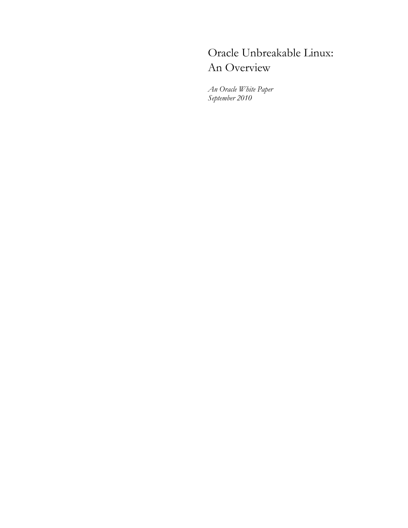# Oracle Unbreakable Linux: An Overview

*An Oracle White Paper September 2010*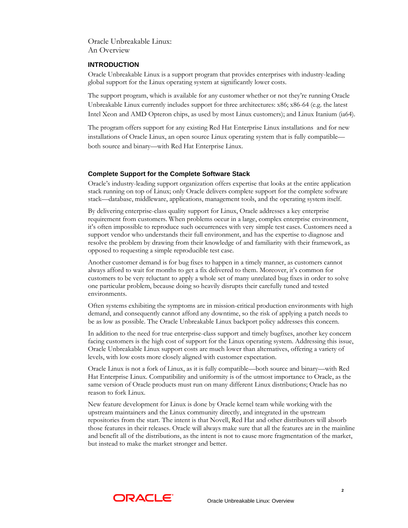Oracle Unbreakable Linux: An Overview

## **INTRODUCTION**

Oracle Unbreakable Linux is a support program that provides enterprises with industry-leading global support for the Linux operating system at significantly lower costs.

The support program, which is available for any customer whether or not they're running Oracle Unbreakable Linux currently includes support for three architectures: x86; x86-64 (e.g. the latest Intel Xeon and AMD Opteron chips, as used by most Linux customers); and Linux Itanium (ia64).

The program offers support for any existing Red Hat Enterprise Linux installations and for new installations of Oracle Linux, an open source Linux operating system that is fully compatible both source and binary—with Red Hat Enterprise Linux.

## **Complete Support for the Complete Software Stack**

Oracle's industry-leading support organization offers expertise that looks at the entire application stack running on top of Linux; only Oracle delivers complete support for the complete software stack—database, middleware, applications, management tools, and the operating system itself.

By delivering enterprise-class quality support for Linux, Oracle addresses a key enterprise requirement from customers. When problems occur in a large, complex enterprise environment, it's often impossible to reproduce such occurrences with very simple test cases. Customers need a support vendor who understands their full environment, and has the expertise to diagnose and resolve the problem by drawing from their knowledge of and familiarity with their framework, as opposed to requesting a simple reproducible test case.

Another customer demand is for bug fixes to happen in a timely manner, as customers cannot always afford to wait for months to get a fix delivered to them. Moreover, it's common for customers to be very reluctant to apply a whole set of many unrelated bug fixes in order to solve one particular problem, because doing so heavily disrupts their carefully tuned and tested environments.

Often systems exhibiting the symptoms are in mission-critical production environments with high demand, and consequently cannot afford any downtime, so the risk of applying a patch needs to be as low as possible. The Oracle Unbreakable Linux backport policy addresses this concern.

In addition to the need for true enterprise-class support and timely bugfixes, another key concern facing customers is the high cost of support for the Linux operating system. Addressing this issue, Oracle Unbreakable Linux support costs are much lower than alternatives, offering a variety of levels, with low costs more closely aligned with customer expectation.

Oracle Linux is not a fork of Linux, as it is fully compatible—both source and binary—with Red Hat Enterprise Linux. Compatibility and uniformity is of the utmost importance to Oracle, as the same version of Oracle products must run on many different Linux distributions; Oracle has no reason to fork Linux.

New feature development for Linux is done by Oracle kernel team while working with the upstream maintainers and the Linux community directly, and integrated in the upstream repositories from the start. The intent is that Novell, Red Hat and other distributors will absorb those features in their releases. Oracle will always make sure that all the features are in the mainline and benefit all of the distributions, as the intent is not to cause more fragmentation of the market, but instead to make the market stronger and better.

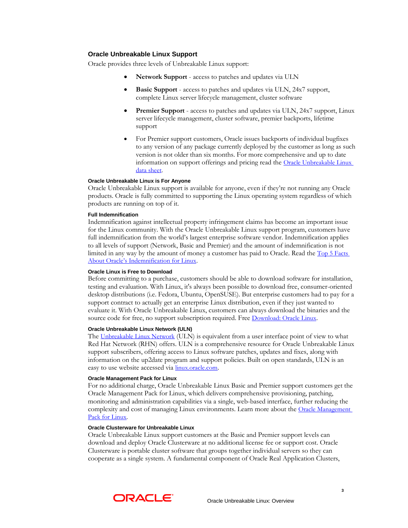# **Oracle Unbreakable Linux Support**

Oracle provides three levels of Unbreakable Linux support:

- **Network Support** access to patches and updates via ULN
- **Basic Support** access to patches and updates via ULN, 24x7 support, complete Linux server lifecycle management, cluster software
- **Premier Support** access to patches and updates via ULN, 24x7 support, Linux server lifecycle management, cluster software, premier backports, lifetime support
- For Premier support customers, Oracle issues backports of individual bugfixes to any version of any package currently deployed by the customer as long as such version is not older than six months. For more comprehensive and up to date information on support offerings and pricing read the Oracle Unbreakable Linux [data sheet.](http://www.oracle.com/us/technologies/027616.pdf)

#### **Oracle Unbreakable Linux is For Anyone**

Oracle Unbreakable Linux support is available for anyone, even if they're not running any Oracle products. Oracle is fully committed to supporting the Linux operating system regardless of which products are running on top of it.

#### **Full Indemnification**

Indemnification against intellectual property infringement claims has become an important issue for the Linux community. With the Oracle Unbreakable Linux support program, customers have full indemnification from the world's largest enterprise software vendor. Indemnification applies to all levels of support (Network, Basic and Premier) and the amount of indemnification is not limited in any way by the amount of money a customer has paid to Oracle. Read the Top 5 Facts [About Oracle's Indemnification for Linux](http://www.oracle.com/us/technologies/linux/ubl-indemnify-066152.pdf).

# **Oracle Linux is Free to Download**

Before committing to a purchase, customers should be able to download software for installation, testing and evaluation. With Linux, it's always been possible to download free, consumer-oriented desktop distributions (i.e. Fedora, Ubuntu, OpenSUSE). But enterprise customers had to pay for a support contract to actually get an enterprise Linux distribution, even if they just wanted to evaluate it. With Oracle Unbreakable Linux, customers can always download the binaries and the source code for free, no support subscription required. Free [Download: O](http://edelivery.oracle.com/linux)racle Linux.

#### **Oracle Unbreakable Linux Network (ULN)**

The [Unbreakable Linux Network](http://linux.oracle.com/) (ULN) is equivalent from a user interface point of view to what Red Hat Network (RHN) offers. ULN is a comprehensive resource for Oracle Unbreakable Linux support subscribers, offering access to Linux software patches, updates and fixes, along with information on the up2date program and support policies. Built on open standards, ULN is an easy to use website accessed via *[linux.oracle.com](http://linux.oracle.com/)*.

#### **Oracle Management Pack for Linux**

For no additional charge, Oracle Unbreakable Linux Basic and Premier support customers get the Oracle Management Pack for Linux, which delivers comprehensive provisioning, patching, monitoring and administration capabilities via a single, web-based interface, further reducing the complexity and cost of managing Linux environments. Learn more about the Oracle Management [Pack for Linux.](http://www.oracle.com/technology/products/oem/omp_linux.html)

#### **Oracle Clusterware for Unbreakable Linux**

Oracle Unbreakable Linux support customers at the Basic and Premier support levels can download and deploy Oracle Clusterware at no additional license fee or support cost. Oracle Clusterware is portable cluster software that groups together individual servers so they can cooperate as a single system. A fundamental component of Oracle Real Application Clusters,

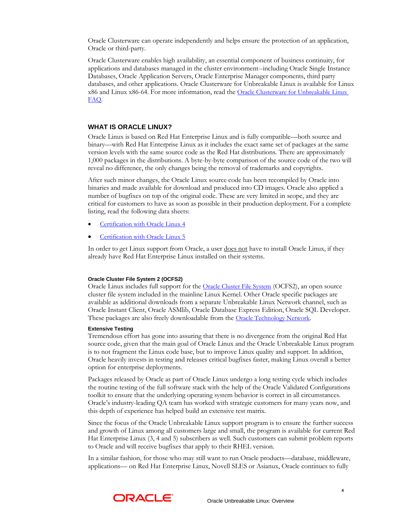Oracle Clusterware can operate independently and helps ensure the protection of an application, Oracle or third-party.

Oracle Clusterware enables high availability, an essential component of business continuity, for applications and databases managed in the cluster environment--including Oracle Single Instance Databases, Oracle Application Servers, Oracle Enterprise Manager components, third party databases, and other applications. Oracle Clusterware for Unbreakable Linux is available for Linux x86 and Linux x86-64. For more information, read the Oracle Clusterware for Unbreakable Linux [FAQ.](http://www.oracle.com/technetwork/database/clusterware/overview/clusterware-for-unbreakable-linux-088663.html)

#### **WHAT IS ORACLE LINUX?**

Oracle Linux is based on Red Hat Enterprise Linux and is fully compatible—both source and binary—with Red Hat Enterprise Linux as it includes the exact same set of packages at the same version levels with the same source code as the Red Hat distributions. There are approximately 1,000 packages in the distributions. A byte-by-byte comparison of the source code of the two will reveal no difference, the only changes being the removal of trademarks and copyrights.

After such minor changes, the Oracle Linux source code has been recompiled by Oracle into binaries and made available for download and produced into CD images. Oracle also applied a number of bugfixes on top of the original code. These are very limited in scope, and they are critical for customers to have as soon as possible in their production deployment. For a complete listing, read the following data sheets:

- [Certification with Oracle Linux 4](http://www.oracle.com/us/technologies/linux/027625.pdf)
- [Certification with Oracle Linux 5](http://www.oracle.com/us/technologies/linux/027626.pdf)

In order to get Linux support from Oracle, a user does not have to install Oracle Linux, if they already have Red Hat Enterprise Linux installed on their systems.

#### **Oracle Cluster File System 2 (OCFS2)**

Oracle Linux includes full support for the **[Oracle Cluster File System](http://oss.oracle.com/projects/ocfs2/)** (OCFS2), an open source cluster file system included in the mainline Linux Kernel. Other Oracle specific packages are available as additional downloads from a separate Unbreakable Linux Network channel, such as Oracle Instant Client, Oracle ASMlib, Oracle Database Express Edition, Oracle SQL Developer. These packages are also freely downloadable from the [Oracle Technology Network](http://www.oracle.com/technology).

#### **Extensive Testing**

Tremendous effort has gone into assuring that there is no divergence from the original Red Hat source code, given that the main goal of Oracle Linux and the Oracle Unbreakable Linux program is to not fragment the Linux code base, but to improve Linux quality and support. In addition, Oracle heavily invests in testing and releases critical bugfixes faster, making Linux overall a better option for enterprise deployments.

Packages released by Oracle as part of Oracle Linux undergo a long testing cycle which includes the routine testing of the full software stack with the help of the Oracle Validated Configurations toolkit to ensure that the underlying operating system behavior is correct in all circumstances. Oracle's industry-leading QA team has worked with strategic customers for many years now, and this depth of experience has helped build an extensive test matrix.

Since the focus of the Oracle Unbreakable Linux support program is to ensure the further success and growth of Linux among all customers large and small, the program is available for current Red Hat Enterprise Linux (3, 4 and 5) subscribers as well. Such customers can submit problem reports to Oracle and will receive bugfixes that apply to their RHEL version.

In a similar fashion, for those who may still want to run Oracle products—database, middleware, applications— on Red Hat Enterprise Linux, Novell SLES or Asianux, Oracle continues to fully

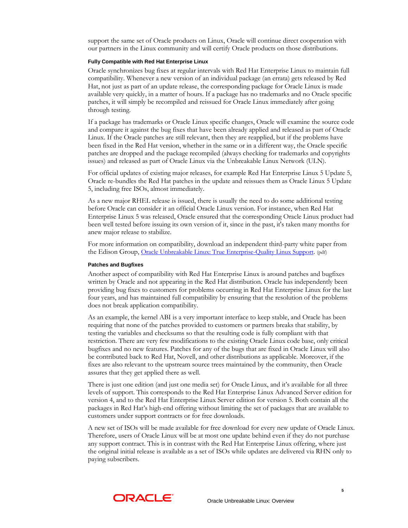support the same set of Oracle products on Linux, Oracle will continue direct cooperation with our partners in the Linux community and will certify Oracle products on those distributions.

#### **Fully Compatible with Red Hat Enterprise Linux**

Oracle synchronizes bug fixes at regular intervals with Red Hat Enterprise Linux to maintain full compatibility. Whenever a new version of an individual package (an errata) gets released by Red Hat, not just as part of an update release, the corresponding package for Oracle Linux is made available very quickly, in a matter of hours. If a package has no trademarks and no Oracle specific patches, it will simply be recompiled and reissued for Oracle Linux immediately after going through testing.

If a package has trademarks or Oracle Linux specific changes, Oracle will examine the source code and compare it against the bug fixes that have been already applied and released as part of Oracle Linux. If the Oracle patches are still relevant, then they are reapplied, but if the problems have been fixed in the Red Hat version, whether in the same or in a different way, the Oracle specific patches are dropped and the package recompiled (always checking for trademarks and copyrights issues) and released as part of Oracle Linux via the Unbreakable Linux Network (ULN).

For official updates of existing major releases, for example Red Hat Enterprise Linux 5 Update 5, Oracle re-bundles the Red Hat patches in the update and reissues them as Oracle Linux 5 Update 5, including free ISOs, almost immediately.

As a new major RHEL release is issued, there is usually the need to do some additional testing before Oracle can consider it an official Oracle Linux version. For instance, when Red Hat Enterprise Linux 5 was released, Oracle ensured that the corresponding Oracle Linux product had been well tested before issuing its own version of it, since in the past, it's taken many months for anew major release to stabilize.

For more information on compatibility, download an independent third-party white paper from the Edison Group, [Oracle Unbreakable Linux: True Enterprise-Quality Linux Support](http://www.oracle.com/us/technologies/linux/ubl-edison-066204.pdf). (pdf)

#### **Patches and Bugfixes**

Another aspect of compatibility with Red Hat Enterprise Linux is around patches and bugfixes written by Oracle and not appearing in the Red Hat distribution. Oracle has independently been providing bug fixes to customers for problems occurring in Red Hat Enterprise Linux for the last four years, and has maintained full compatibility by ensuring that the resolution of the problems does not break application compatibility.

As an example, the kernel ABI is a very important interface to keep stable, and Oracle has been requiring that none of the patches provided to customers or partners breaks that stability, by testing the variables and checksums so that the resulting code is fully compliant with that restriction. There are very few modifications to the existing Oracle Linux code base, only critical bugfixes and no new features. Patches for any of the bugs that are fixed in Oracle Linux will also be contributed back to Red Hat, Novell, and other distributions as applicable. Moreover, if the fixes are also relevant to the upstream source trees maintained by the community, then Oracle assures that they get applied there as well.

There is just one edition (and just one media set) for Oracle Linux, and it's available for all three levels of support. This corresponds to the Red Hat Enterprise Linux Advanced Server edition for version 4, and to the Red Hat Enterprise Linux Server edition for version 5. Both contain all the packages in Red Hat's high-end offering without limiting the set of packages that are available to customers under support contracts or for free downloads.

A new set of ISOs will be made available for free download for every new update of Oracle Linux. Therefore, users of Oracle Linux will be at most one update behind even if they do not purchase any support contract. This is in contrast with the Red Hat Enterprise Linux offering, where just the original initial release is available as a set of ISOs while updates are delivered via RHN only to paying subscribers.

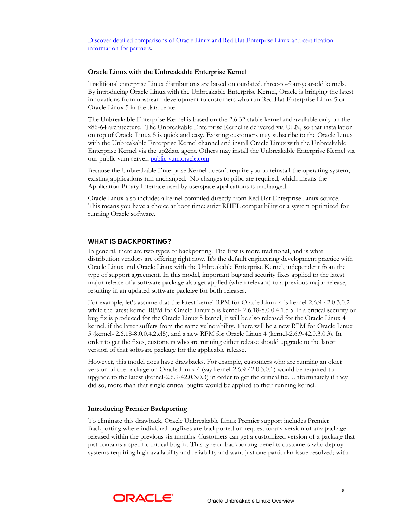[Discover detailed comparisons of Oracle Linux and Red Hat Enterprise Linux and certification](http://www.oracle.com/us/technologies/linux/025987.htm)  [information for partners](http://www.oracle.com/us/technologies/linux/025987.htm).

#### **Oracle Linux with the Unbreakable Enterprise Kernel**

Traditional enterprise Linux distributions are based on outdated, three-to-four-year-old kernels. By introducing Oracle Linux with the Unbreakable Enterprise Kernel, Oracle is bringing the latest innovations from upstream development to customers who run Red Hat Enterprise Linux 5 or Oracle Linux 5 in the data center.

The Unbreakable Enterprise Kernel is based on the 2.6.32 stable kernel and available only on the x86-64 architecture. The Unbreakable Enterprise Kernel is delivered via ULN, so that installation on top of Oracle Linux 5 is quick and easy. Existing customers may subscribe to the Oracle Linux with the Unbreakable Enterprise Kernel channel and install Oracle Linux with the Unbreakable Enterprise Kernel via the up2date agent. Others may install the Unbreakable Enterprise Kernel via our public yum server, [public-yum.oracle.com](http://public-yum.oracle.com/)

Because the Unbreakable Enterprise Kernel doesn't require you to reinstall the operating system, existing applications run unchanged. No changes to glibc are required, which means the Application Binary Interface used by userspace applications is unchanged.

Oracle Linux also includes a kernel compiled directly from Red Hat Enterprise Linux source. This means you have a choice at boot time: strict RHEL compatibility or a system optimized for running Oracle software.

## **WHAT IS BACKPORTING?**

In general, there are two types of backporting. The first is more traditional, and is what distribution vendors are offering right now. It's the default engineering development practice with Oracle Linux and Oracle Linux with the Unbreakable Enterprise Kernel, independent from the type of support agreement. In this model, important bug and security fixes applied to the latest major release of a software package also get applied (when relevant) to a previous major release, resulting in an updated software package for both releases.

For example, let's assume that the latest kernel RPM for Oracle Linux 4 is kernel-2.6.9-42.0.3.0.2 while the latest kernel RPM for Oracle Linux 5 is kernel- 2.6.18-8.0.0.4.1.el5. If a critical security or bug fix is produced for the Oracle Linux 5 kernel, it will be also released for the Oracle Linux 4 kernel, if the latter suffers from the same vulnerability. There will be a new RPM for Oracle Linux 5 (kernel- 2.6.18-8.0.0.4.2.el5), and a new RPM for Oracle Linux 4 (kernel-2.6.9-42.0.3.0.3). In order to get the fixes, customers who are running either release should upgrade to the latest version of that software package for the applicable release.

However, this model does have drawbacks. For example, customers who are running an older version of the package on Oracle Linux 4 (say kernel-2.6.9-42.0.3.0.1) would be required to upgrade to the latest (kernel-2.6.9-42.0.3.0.3) in order to get the critical fix. Unfortunately if they did so, more than that single critical bugfix would be applied to their running kernel.

#### **Introducing Premier Backporting**

To eliminate this drawback, Oracle Unbreakable Linux Premier support includes Premier Backporting where individual bugfixes are backported on request to any version of any package released within the previous six months. Customers can get a customized version of a package that just contains a specific critical bugfix. This type of backporting benefits customers who deploy systems requiring high availability and reliability and want just one particular issue resolved; with

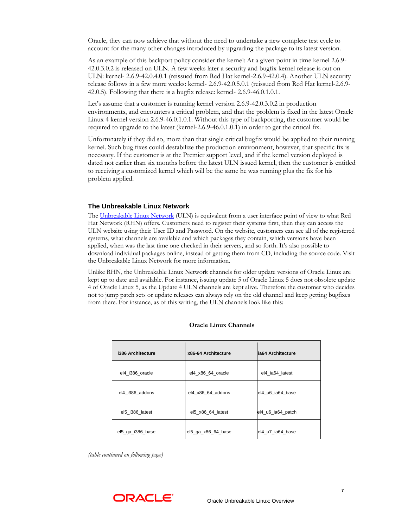Oracle, they can now achieve that without the need to undertake a new complete test cycle to account for the many other changes introduced by upgrading the package to its latest version.

As an example of this backport policy consider the kernel: At a given point in time kernel 2.6.9- 42.0.3.0.2 is released on ULN. A few weeks later a security and bugfix kernel release is out on ULN: kernel- 2.6.9-42.0.4.0.1 (reissued from Red Hat kernel-2.6.9-42.0.4). Another ULN security release follows in a few more weeks: kernel- 2.6.9-42.0.5.0.1 (reissued from Red Hat kernel-2.6.9- 42.0.5). Following that there is a bugfix release: kernel- 2.6.9-46.0.1.0.1.

Let's assume that a customer is running kernel version 2.6.9-42.0.3.0.2 in production environments, and encounters a critical problem, and that the problem is fixed in the latest Oracle Linux 4 kernel version 2.6.9-46.0.1.0.1. Without this type of backporting, the customer would be required to upgrade to the latest (kernel-2.6.9-46.0.1.0.1) in order to get the critical fix.

Unfortunately if they did so, more than that single critical bugfix would be applied to their running kernel. Such bug fixes could destabilize the production environment, however, that specific fix is necessary. If the customer is at the Premier support level, and if the kernel version deployed is dated not earlier than six months before the latest ULN issued kernel, then the customer is entitled to receiving a customized kernel which will be the same he was running plus the fix for his problem applied.

#### **The Unbreakable Linux Network**

The [Unbreakable Linux Network](http://linux.oracle.com/) (ULN) is equivalent from a user interface point of view to what Red Hat Network (RHN) offers. Customers need to register their systems first, then they can access the ULN website using their User ID and Password. On the website, customers can see all of the registered systems, what channels are available and which packages they contain, which versions have been applied, when was the last time one checked in their servers, and so forth. It's also possible to download individual packages online, instead of getting them from CD, including the source code. Visit the Unbreakable Linux Network for more information.

Unlike RHN, the Unbreakable Linux Network channels for older update versions of Oracle Linux are kept up to date and available. For instance, issuing update 5 of Oracle Linux 5 does not obsolete update 4 of Oracle Linux 5, as the Update 4 ULN channels are kept alive. Therefore the customer who decides not to jump patch sets or update releases can always rely on the old channel and keep getting bugfixes from there. For instance, as of this writing, the ULN channels look like this:

| i386 Architecture | x86-64 Architecture | ia64 Architecture |
|-------------------|---------------------|-------------------|
| el4 i386 oracle   | el4 x86 64 oracle   | el4 ia64 latest   |
| el4 i386 addons   | el4 x86 64 addons   | el4 u6 ia64 base  |
| el5 i386 latest   | el5 x86 64 latest   | el4_u6_ia64_patch |
| el5_ga_i386_base  | el5_ga_x86_64_base  | el4 u7 ia64 base  |

#### **Oracle Linux Channels**

*(table continued on following page)*

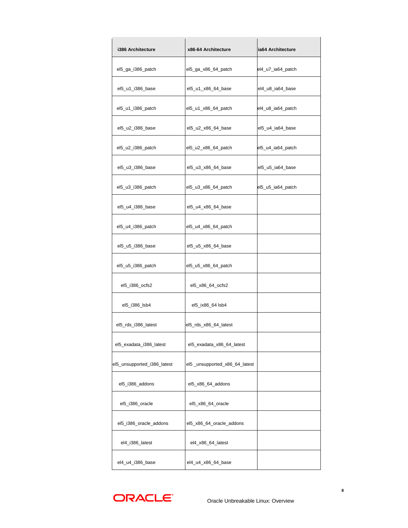| i386 Architecture           | x86-64 Architecture           | ia64 Architecture |
|-----------------------------|-------------------------------|-------------------|
| el5_ga_i386_patch           | el5_ga_x86_64_patch           | el4_u7_ia64_patch |
| el5_u1_i386_base            | el5_u1_x86_64_base            | el4_u8_ia64_base  |
| el5_u1_i386_patch           | el5_u1_x86_64_patch           | el4_u8_ia64_patch |
| el5_u2_i386_base            | el5_u2_x86_64_base            | el5_u4_ia64_base  |
| el5_u2_i386_patch           | el5_u2_x86_64_patch           | el5_u4_ia64_patch |
| el5_u3_i386_base            | el5_u3_x86_64_base            | el5_u5_ia64_base  |
| el5_u3_i386_patch           | el5_u3_x86_64_patch           | el5_u5_ia64_patch |
| el5_u4_i386_base            | el5_u4_x86_64_base            |                   |
| el5_u4_i386_patch           | el5_u4_x86_64_patch           |                   |
| el5_u5_i386_base            | el5_u5_x86_64_base            |                   |
| el5_u5_i386_patch           | el5_u5_x86_64_patch           |                   |
| el5_i386_ocfs2              | el5_x86_64_ocfs2              |                   |
| el5_i386_lsb4               | el5_ix86_64 lsb4              |                   |
| el5_rds_i386_latest         | el5_rds_x86_64_latest         |                   |
| el5_exadata_i386_latest     | el5_exadata_x86_64_latest     |                   |
| el5_unsupported_i386_latest | el5_unsupported_x86_64_latest |                   |
| el5_i386_addons             | el5_x86_64_addons             |                   |
| el5_i386_oracle             | el5_x86_64_oracle             |                   |
| el5_i386_oracle_addons      | el5_x86_64_oracle_addons      |                   |
| el4_i386_latest             | el4_x86_64_latest             |                   |
| el4_u4_i386_base            | el4_u4_x86_64_base            |                   |

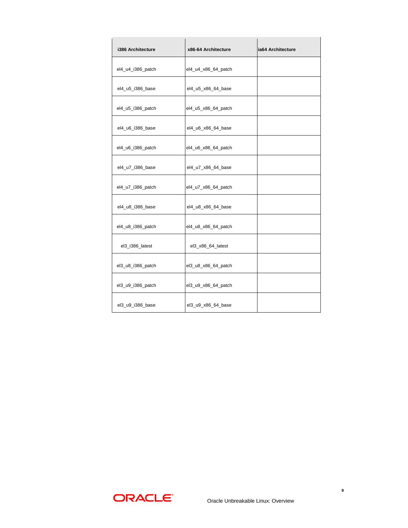| i386 Architecture | x86-64 Architecture | ia64 Architecture |
|-------------------|---------------------|-------------------|
| el4_u4_i386_patch | el4_u4_x86_64_patch |                   |
| el4_u5_i386_base  | el4_u5_x86_64_base  |                   |
| el4_u5_i386_patch | el4_u5_x86_64_patch |                   |
| el4_u6_i386_base  | el4_u6_x86_64_base  |                   |
| el4_u6_i386_patch | el4_u6_x86_64_patch |                   |
| el4_u7_i386_base  | el4_u7_x86_64_base  |                   |
| el4_u7_i386_patch | el4_u7_x86_64_patch |                   |
| el4_u8_i386_base  | el4_u8_x86_64_base  |                   |
| el4_u8_i386_patch | el4_u8_x86_64_patch |                   |
| el3_i386_latest   | el3_x86_64_latest   |                   |
| el3_u8_i386_patch | el3_u8_x86_64_patch |                   |
| el3_u9_i386_patch | el3_u9_x86_64_patch |                   |
| el3_u9_i386_base  | el3_u9_x86_64_base  |                   |

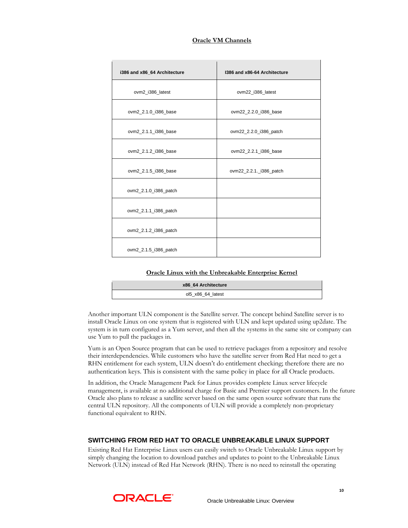| i386 and x86 64 Architecture | 1386 and x86-64 Architecture |
|------------------------------|------------------------------|
| ovm2_i386_latest             | ovm22_i386_latest            |
| ovm2_2.1.0_i386_base         | ovm22_2.2.0_i386_base        |
| ovm2_2.1.1_i386_base         | ovm22_2.2.0_i386_patch       |
| ovm2_2.1.2_i386_base         | ovm22_2.2.1_i386_base        |
| ovm2_2.1.5_i386_base         | ovm22_2.2.1._i386_patch      |
| ovm2_2.1.0_i386_patch        |                              |
| ovm2_2.1.1_i386_patch        |                              |
| ovm2_2.1.2_i386_patch        |                              |
| ovm2_2.1.5_i386_patch        |                              |

# **Oracle VM Channels**

#### **Oracle Linux with the Unbreakable Enterprise Kernel**

| x86 64 Architecture |  |
|---------------------|--|
| ol5 x86 64 latest   |  |

Another important ULN component is the Satellite server. The concept behind Satellite server is to install Oracle Linux on one system that is registered with ULN and kept updated using up2date. The system is in turn configured as a Yum server, and then all the systems in the same site or company can use Yum to pull the packages in.

Yum is an Open Source program that can be used to retrieve packages from a repository and resolve their interdependencies. While customers who have the satellite server from Red Hat need to get a RHN entitlement for each system, ULN doesn't do entitlement checking; therefore there are no authentication keys. This is consistent with the same policy in place for all Oracle products.

In addition, the Oracle Management Pack for Linux provides complete Linux server lifecycle management, is available at no additional charge for Basic and Premier support customers. In the future Oracle also plans to release a satellite server based on the same open source software that runs the central ULN repository. All the components of ULN will provide a completely non-proprietary functional equivalent to RHN.

# **SWITCHING FROM RED HAT TO ORACLE UNBREAKABLE LINUX SUPPORT**

Existing Red Hat Enterprise Linux users can easily switch to Oracle Unbreakable Linux support by simply changing the location to download patches and updates to point to the Unbreakable Linux Network (ULN) instead of Red Hat Network (RHN). There is no need to reinstall the operating



 $\mathsf{I}$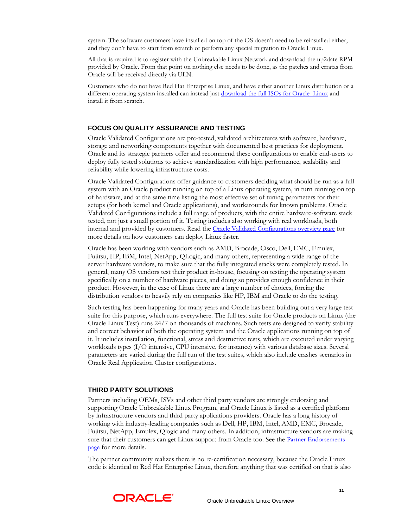system. The software customers have installed on top of the OS doesn't need to be reinstalled either, and they don't have to start from scratch or perform any special migration to Oracle Linux.

All that is required is to register with the Unbreakable Linux Network and download the up2date RPM provided by Oracle. From that point on nothing else needs to be done, as the patches and erratas from Oracle will be received directly via ULN.

Customers who do not have Red Hat Enterprise Linux, and have either another Linux distribution or a different operating system installed can instead just [download the full ISOs for Oracle Linux](http://edelivery.oracle.com/linux) and install it from scratch.

# **FOCUS ON QUALITY ASSURANCE AND TESTING**

Oracle Validated Configurations are pre-tested, validated architectures with software, hardware, storage and networking components together with documented best practices for deployment. Oracle and its strategic partners offer and recommend these configurations to enable end-users to deploy fully tested solutions to achieve standardization with high performance, scalability and reliability while lowering infrastructure costs.

Oracle Validated Configurations offer guidance to customers deciding what should be run as a full system with an Oracle product running on top of a Linux operating system, in turn running on top of hardware, and at the same time listing the most effective set of tuning parameters for their setups (for both kernel and Oracle applications), and workarounds for known problems. Oracle Validated Configurations include a full range of products, with the entire hardware-software stack tested, not just a small portion of it. Testing includes also working with real workloads, both internal and provided by customers. Read the [Oracle Validated Configurations overview page](http://www.oracle.com/technetwork/topics/linux/validated-configurations-085828.html) for more details on how customers can deploy Linux faster.

Oracle has been working with vendors such as AMD, Brocade, Cisco, Dell, EMC, Emulex, Fujitsu, HP, IBM, Intel, NetApp, QLogic, and many others, representing a wide range of the server hardware vendors, to make sure that the fully integrated stacks were completely tested. In general, many OS vendors test their product in-house, focusing on testing the operating system specifically on a number of hardware pieces, and doing so provides enough confidence in their product. However, in the case of Linux there are a large number of choices, forcing the distribution vendors to heavily rely on companies like HP, IBM and Oracle to do the testing.

Such testing has been happening for many years and Oracle has been building out a very large test suite for this purpose, which runs everywhere. The full test suite for Oracle products on Linux (the Oracle Linux Test) runs 24/7 on thousands of machines. Such tests are designed to verify stability and correct behavior of both the operating system and the Oracle applications running on top of it. It includes installation, functional, stress and destructive tests, which are executed under varying workloads types (I/O intensive, CPU intensive, for instance) with various database sizes. Several parameters are varied during the full run of the test suites, which also include crashes scenarios in Oracle Real Application Cluster configurations.

#### **THIRD PARTY SOLUTIONS**

Partners including OEMs, ISVs and other third party vendors are strongly endorsing and supporting Oracle Unbreakable Linux Program, and Oracle Linux is listed as a certified platform by infrastructure vendors and third party applications providers. Oracle has a long history of working with industry-leading companies such as Dell, HP, IBM, Intel, AMD, EMC, Brocade, Fujitsu, NetApp, Emulex, Qlogic and many others. In addition, infrastructure vendors are making sure that their customers can get Linux support from Oracle too. See the **Partner Endorsements** [page](http://www.oracle.com/us/technologies/linux/026011.htm) for more details.

The partner community realizes there is no re-certification necessary, because the Oracle Linux code is identical to Red Hat Enterprise Linux, therefore anything that was certified on that is also

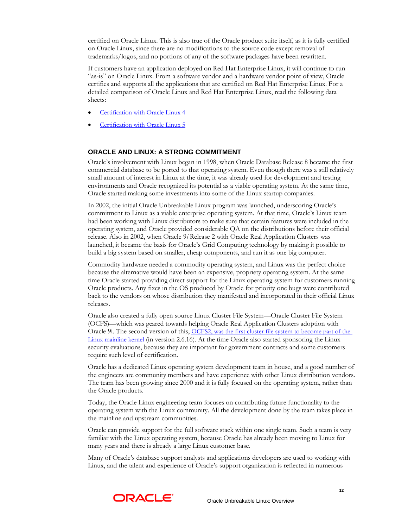certified on Oracle Linux. This is also true of the Oracle product suite itself, as it is fully certified on Oracle Linux, since there are no modifications to the source code except removal of trademarks/logos, and no portions of any of the software packages have been rewritten.

If customers have an application deployed on Red Hat Enterprise Linux, it will continue to run "as-is" on Oracle Linux. From a software vendor and a hardware vendor point of view, Oracle certifies and supports all the applications that are certified on Red Hat Enterprise Linux. For a detailed comparison of Oracle Linux and Red Hat Enterprise Linux, read the following data sheets:

- [Certification with Oracle Linux 4](http://www.oracle.com/us/technologies/linux/027625.pdf)
- [Certification with Oracle Linux 5](http://www.oracle.com/us/technologies/linux/027625.pdf)

# **ORACLE AND LINUX: A STRONG COMMITMENT**

Oracle's involvement with Linux began in 1998, when Oracle Database Release 8 became the first commercial database to be ported to that operating system. Even though there was a still relatively small amount of interest in Linux at the time, it was already used for development and testing environments and Oracle recognized its potential as a viable operating system. At the same time, Oracle started making some investments into some of the Linux startup companies.

In 2002, the initial Oracle Unbreakable Linux program was launched, underscoring Oracle's commitment to Linux as a viable enterprise operating system. At that time, Oracle's Linux team had been working with Linux distributors to make sure that certain features were included in the operating system, and Oracle provided considerable QA on the distributions before their official release. Also in 2002, when Oracle 9*i* Release 2 with Oracle Real Application Clusters was launched, it became the basis for Oracle's Grid Computing technology by making it possible to build a big system based on smaller, cheap components, and run it as one big computer.

Commodity hardware needed a commodity operating system, and Linux was the perfect choice because the alternative would have been an expensive, propriety operating system. At the same time Oracle started providing direct support for the Linux operating system for customers running Oracle products. Any fixes in the OS produced by Oracle for priority one bugs were contributed back to the vendors on whose distribution they manifested and incorporated in their official Linux releases.

Oracle also created a fully open source Linux Cluster File System—Oracle Cluster File System (OCFS)—which was geared towards helping Oracle Real Application Clusters adoption with Oracle 9i. The second version of this, OCFS2, was the first cluster file system to become part of the [Linux mainline kernel](http://www.oracle.com/us/technologies/linux/025995.htm) (in version 2.6.16). At the time Oracle also started sponsoring the Linux security evaluations, because they are important for government contracts and some customers require such level of certification.

Oracle has a dedicated Linux operating system development team in house, and a good number of the engineers are community members and have experience with other Linux distribution vendors. The team has been growing since 2000 and it is fully focused on the operating system, rather than the Oracle products.

Today, the Oracle Linux engineering team focuses on contributing future functionality to the operating system with the Linux community. All the development done by the team takes place in the mainline and upstream communities.

Oracle can provide support for the full software stack within one single team. Such a team is very familiar with the Linux operating system, because Oracle has already been moving to Linux for many years and there is already a large Linux customer base.

Many of Oracle's database support analysts and applications developers are used to working with Linux, and the talent and experience of Oracle's support organization is reflected in numerous

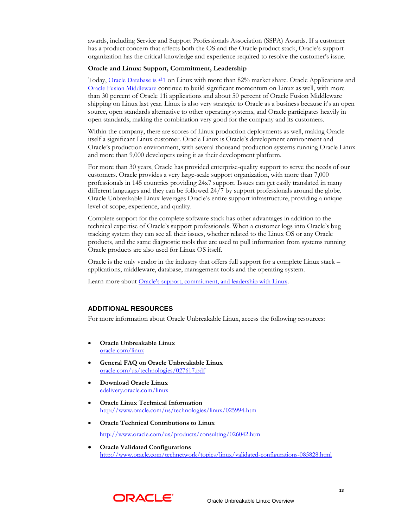awards, including Service and Support Professionals Association (SSPA) Awards. If a customer has a product concern that affects both the OS and the Oracle product stack, Oracle's support organization has the critical knowledge and experience required to resolve the customer's issue.

#### **Oracle and Linux: Support, Commitment, Leadership**

Today, [Oracle Database is #1](http://www.oracle.com/database/feature_db_dbleadership.html) on Linux with more than 82% market share. Oracle Applications and [Oracle Fusion Middleware](http://www.oracle.com/technetwork/middleware/fusion-middleware/overview/index.html) continue to build significant momentum on Linux as well, with more than 30 percent of Oracle 11i applications and about 50 percent of Oracle Fusion Middleware shipping on Linux last year. Linux is also very strategic to Oracle as a business because it's an open source, open standards alternative to other operating systems, and Oracle participates heavily in open standards, making the combination very good for the company and its customers.

Within the company, there are scores of Linux production deployments as well, making Oracle itself a significant Linux customer. Oracle Linux is Oracle's development environment and Oracle's production environment, with several thousand production systems running Oracle Linux and more than 9,000 developers using it as their development platform.

For more than 30 years, Oracle has provided enterprise-quality support to serve the needs of our customers. Oracle provides a very large-scale support organization, with more than 7,000 professionals in 145 countries providing 24x7 support. Issues can get easily translated in many different languages and they can be followed 24/7 by support professionals around the globe. Oracle Unbreakable Linux leverages Oracle's entire support infrastructure, providing a unique level of scope, experience, and quality.

Complete support for the complete software stack has other advantages in addition to the technical expertise of Oracle's support professionals. When a customer logs into Oracle's bug tracking system they can see all their issues, whether related to the Linux OS or any Oracle products, and the same diagnostic tools that are used to pull information from systems running Oracle products are also used for Linux OS itself.

Oracle is the only vendor in the industry that offers full support for a complete Linux stack – applications, middleware, database, management tools and the operating system.

Learn more about [Oracle's support, commitment, and leadership with Linux](http://www.oracle.com/us/technologies/linux/commitment-leadership-066451.html).

# **ADDITIONAL RESOURCES**

For more information about Oracle Unbreakable Linux, access the following resources:

- **Oracle Unbreakable Linux**  [oracle.com/linux](http://www.oracle.com/linux)
- **General FAQ on Oracle Unbreakable Linux** [oracle.com/us/technologies/027617.pdf](http://www.oracle.com/us/technologies/027617.pdf)
- **Download Oracle Linux** [edelivery.oracle.com/linux](http://edelivery.oracle.com/linux)
- **Oracle Linux Technical Information** <http://www.oracle.com/us/technologies/linux/025994.htm>
- **Oracle Technical Contributions to Linux** <http://www.oracle.com/us/products/consulting/026042.htm>
- **Oracle Validated Configurations** <http://www.oracle.com/technetwork/topics/linux/validated-configurations-085828.html>